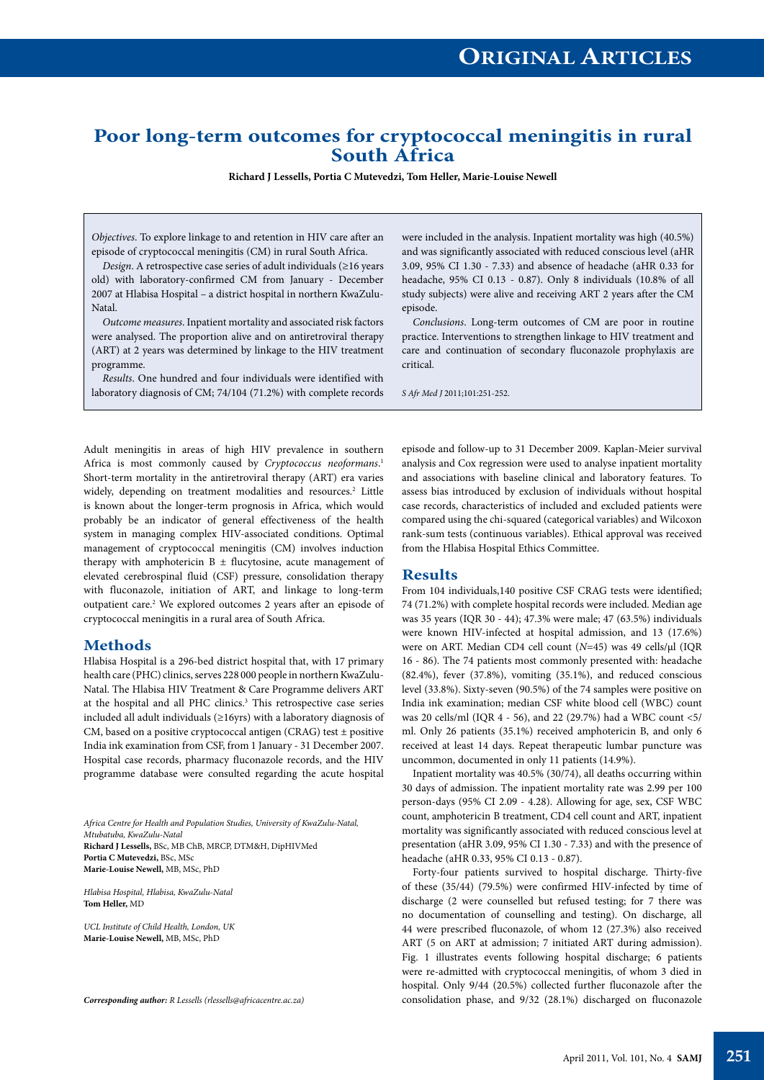# **Poor long-term outcomes for cryptococcal meningitis in rural South Africa**

**Richard J Lessells, Portia C Mutevedzi, Tom Heller, Marie-Louise Newell**

*Objectives*. To explore linkage to and retention in HIV care after an episode of cryptococcal meningitis (CM) in rural South Africa.

*Design*. A retrospective case series of adult individuals (≥16 years old) with laboratory-confirmed CM from January - December 2007 at Hlabisa Hospital – a district hospital in northern KwaZulu-Natal.

*Outcome measures*. Inpatient mortality and associated risk factors were analysed. The proportion alive and on antiretroviral therapy (ART) at 2 years was determined by linkage to the HIV treatment programme.

*Results*. One hundred and four individuals were identified with laboratory diagnosis of CM; 74/104 (71.2%) with complete records

Adult meningitis in areas of high HIV prevalence in southern Africa is most commonly caused by *Cryptococcus neoformans*. 1 Short-term mortality in the antiretroviral therapy (ART) era varies widely, depending on treatment modalities and resources.<sup>2</sup> Little is known about the longer-term prognosis in Africa, which would probably be an indicator of general effectiveness of the health system in managing complex HIV-associated conditions. Optimal management of cryptococcal meningitis (CM) involves induction therapy with amphotericin  $B \pm$  flucytosine, acute management of elevated cerebrospinal fluid (CSF) pressure, consolidation therapy with fluconazole, initiation of ART, and linkage to long-term outpatient care.<sup>2</sup> We explored outcomes 2 years after an episode of cryptococcal meningitis in a rural area of South Africa.

# **Methods**

Hlabisa Hospital is a 296-bed district hospital that, with 17 primary health care (PHC) clinics, serves 228 000 people in northern KwaZulu-Natal. The Hlabisa HIV Treatment & Care Programme delivers ART at the hospital and all PHC clinics.<sup>3</sup> This retrospective case series included all adult individuals (≥16yrs) with a laboratory diagnosis of CM, based on a positive cryptococcal antigen (CRAG) test ± positive India ink examination from CSF, from 1 January - 31 December 2007. Hospital case records, pharmacy fluconazole records, and the HIV programme database were consulted regarding the acute hospital

*Africa Centre for Health and Population Studies, University of KwaZulu-Natal, Mtubatuba, KwaZulu-Natal* **Richard J Lessells,** BSc, MB ChB, MRCP, DTM&H, DipHIVMed **Portia C Mutevedzi,** BSc, MSc **Marie-Louise Newell,** MB, MSc, PhD

*Hlabisa Hospital, Hlabisa, KwaZulu-Natal* **Tom Heller,** MD

*UCL Institute of Child Health, London, UK* **Marie-Louise Newell,** MB, MSc, PhD

were included in the analysis. Inpatient mortality was high (40.5%) and was significantly associated with reduced conscious level (aHR 3.09, 95% CI 1.30 - 7.33) and absence of headache (aHR 0.33 for headache, 95% CI 0.13 - 0.87). Only 8 individuals (10.8% of all study subjects) were alive and receiving ART 2 years after the CM episode.

*Conclusions*. Long-term outcomes of CM are poor in routine practice. Interventions to strengthen linkage to HIV treatment and care and continuation of secondary fluconazole prophylaxis are critical.

*S Afr Med J* 2011;101:251-252.

episode and follow-up to 31 December 2009. Kaplan-Meier survival analysis and Cox regression were used to analyse inpatient mortality and associations with baseline clinical and laboratory features. To assess bias introduced by exclusion of individuals without hospital case records, characteristics of included and excluded patients were compared using the chi-squared (categorical variables) and Wilcoxon rank-sum tests (continuous variables). Ethical approval was received from the Hlabisa Hospital Ethics Committee.

### **Results**

From 104 individuals,140 positive CSF CRAG tests were identified; 74 (71.2%) with complete hospital records were included. Median age was 35 years (IQR 30 - 44); 47.3% were male; 47 (63.5%) individuals were known HIV-infected at hospital admission, and 13 (17.6%) were on ART. Median CD4 cell count (*N*=45) was 49 cells/μl (IQR 16 - 86). The 74 patients most commonly presented with: headache (82.4%), fever (37.8%), vomiting (35.1%), and reduced conscious level (33.8%). Sixty-seven (90.5%) of the 74 samples were positive on India ink examination; median CSF white blood cell (WBC) count was 20 cells/ml (IQR 4 - 56), and 22 (29.7%) had a WBC count <5/ ml. Only 26 patients (35.1%) received amphotericin B, and only 6 received at least 14 days. Repeat therapeutic lumbar puncture was uncommon, documented in only 11 patients (14.9%).

Inpatient mortality was 40.5% (30/74), all deaths occurring within 30 days of admission. The inpatient mortality rate was 2.99 per 100 person-days (95% CI 2.09 - 4.28). Allowing for age, sex, CSF WBC count, amphotericin B treatment, CD4 cell count and ART, inpatient mortality was significantly associated with reduced conscious level at presentation (aHR 3.09, 95% CI 1.30 - 7.33) and with the presence of headache (aHR 0.33, 95% CI 0.13 - 0.87).

Forty-four patients survived to hospital discharge. Thirty-five of these (35/44) (79.5%) were confirmed HIV-infected by time of discharge (2 were counselled but refused testing; for 7 there was no documentation of counselling and testing). On discharge, all 44 were prescribed fluconazole, of whom 12 (27.3%) also received ART (5 on ART at admission; 7 initiated ART during admission). Fig. 1 illustrates events following hospital discharge; 6 patients were re-admitted with cryptococcal meningitis, of whom 3 died in hospital. Only 9/44 (20.5%) collected further fluconazole after the *Corresponding author: R Lessells (rlessells@africacentre.ac.za)* consolidation phase, and 9/32 (28.1%) discharged on fluconazole